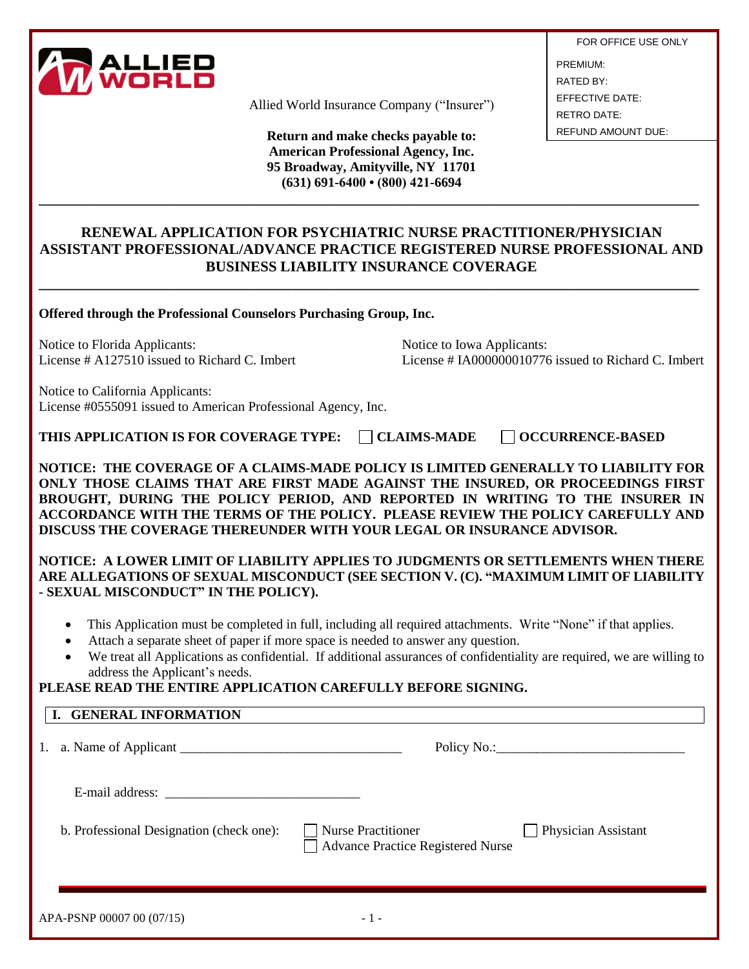

Allied World Insurance Company ("Insurer")

**Return and make checks payable to: American Professional Agency, Inc. 95 Broadway, Amityville, NY 11701 (631) 691-6400 • (800) 421-6694**

FOR OFFICE USE ONLY PREMIUM: RATED BY: EFFECTIVE DATE: RETRO DATE: REFUND AMOUNT DUE:

# **RENEWAL APPLICATION FOR PSYCHIATRIC NURSE PRACTITIONER/PHYSICIAN ASSISTANT PROFESSIONAL/ADVANCE PRACTICE REGISTERED NURSE PROFESSIONAL AND BUSINESS LIABILITY INSURANCE COVERAGE**

**\_\_\_\_\_\_\_\_\_\_\_\_\_\_\_\_\_\_\_\_\_\_\_\_\_\_\_\_\_\_\_\_\_\_\_\_\_\_\_\_\_\_\_\_\_\_\_\_\_\_\_\_\_\_\_\_\_\_\_\_\_\_\_\_\_\_\_\_\_\_\_\_\_\_\_\_\_\_\_\_\_\_\_\_\_\_\_\_\_\_**

**\_\_\_\_\_\_\_\_\_\_\_\_\_\_\_\_\_\_\_\_\_\_\_\_\_\_\_\_\_\_\_\_\_\_\_\_\_\_\_\_\_\_\_\_\_\_\_\_\_\_\_\_\_\_\_\_\_\_\_\_\_\_\_\_\_\_\_\_\_\_\_\_\_\_\_\_\_\_\_\_\_\_\_\_\_\_\_\_\_\_**

**Offered through the Professional Counselors Purchasing Group, Inc.**

Notice to Florida Applicants:<br>
License # A127510 issued to Richard C. Imbert<br>
License # 14000000010776

License  $\#$  IA000000010776 issued to Richard C. Imbert

Notice to California Applicants: License #0555091 issued to American Professional Agency, Inc.

**THIS APPLICATION IS FOR COVERAGE TYPE:** □ CLAIMS-MADE □ OCCURRENCE-BASED

**NOTICE: THE COVERAGE OF A CLAIMS-MADE POLICY IS LIMITED GENERALLY TO LIABILITY FOR ONLY THOSE CLAIMS THAT ARE FIRST MADE AGAINST THE INSURED, OR PROCEEDINGS FIRST BROUGHT, DURING THE POLICY PERIOD, AND REPORTED IN WRITING TO THE INSURER IN ACCORDANCE WITH THE TERMS OF THE POLICY. PLEASE REVIEW THE POLICY CAREFULLY AND** 

**DISCUSS THE COVERAGE THEREUNDER WITH YOUR LEGAL OR INSURANCE ADVISOR.** 

**NOTICE: A LOWER LIMIT OF LIABILITY APPLIES TO JUDGMENTS OR SETTLEMENTS WHEN THERE ARE ALLEGATIONS OF SEXUAL MISCONDUCT (SEE SECTION V. (C). "MAXIMUM LIMIT OF LIABILITY - SEXUAL MISCONDUCT" IN THE POLICY).**

- This Application must be completed in full, including all required attachments. Write "None" if that applies.
- Attach a separate sheet of paper if more space is needed to answer any question.
- We treat all Applications as confidential. If additional assurances of confidentiality are required, we are willing to address the Applicant's needs.

# **PLEASE READ THE ENTIRE APPLICATION CAREFULLY BEFORE SIGNING.**

#### **I. GENERAL INFORMATION**

1. a. Name of Applicant \_\_\_\_\_\_\_\_\_\_\_\_\_\_\_\_\_\_\_\_\_\_\_\_\_\_\_\_\_\_\_\_\_ Policy No.:\_\_\_\_\_\_\_\_\_\_\_\_\_\_\_\_\_\_\_\_\_\_\_\_\_\_\_\_

E-mail address: \_\_\_\_\_\_\_\_\_\_\_\_\_\_\_\_\_\_\_\_\_\_\_\_\_\_\_\_\_

b. Professional Designation (check one):  $\Box$  Nurse Practitioner  $\Box$  Physician Assistant

Advance Practice Registered Nurse

| APA-PSNP 00007 00 (07/15) |  |  |  |  |
|---------------------------|--|--|--|--|
|---------------------------|--|--|--|--|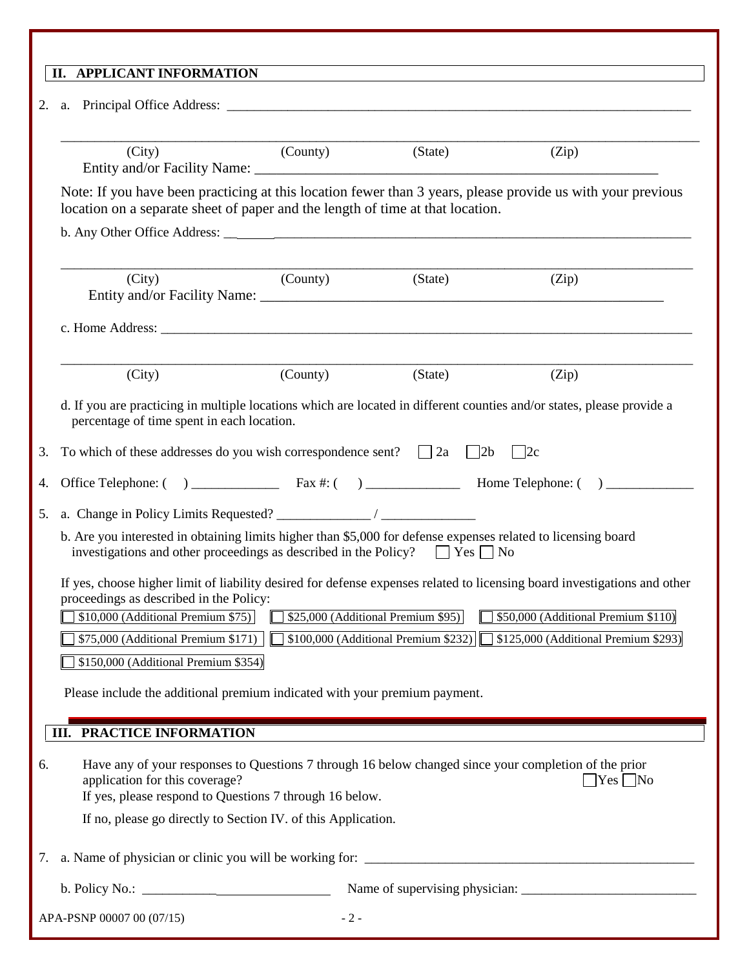|          | II. APPLICANT INFORMATION                                                                                                                                                                              |                  |                                       |                                                                                                                           |
|----------|--------------------------------------------------------------------------------------------------------------------------------------------------------------------------------------------------------|------------------|---------------------------------------|---------------------------------------------------------------------------------------------------------------------------|
| 2.<br>a. |                                                                                                                                                                                                        |                  |                                       |                                                                                                                           |
|          | (City)                                                                                                                                                                                                 | (County) (State) |                                       | (Zip)                                                                                                                     |
|          | location on a separate sheet of paper and the length of time at that location.                                                                                                                         |                  |                                       | Note: If you have been practicing at this location fewer than 3 years, please provide us with your previous               |
|          | (County)<br>(City)                                                                                                                                                                                     |                  | (State)                               | (Zip)                                                                                                                     |
|          |                                                                                                                                                                                                        |                  |                                       |                                                                                                                           |
|          | (City)                                                                                                                                                                                                 | (County)         | (State)                               | (Zip)                                                                                                                     |
|          | percentage of time spent in each location.                                                                                                                                                             |                  |                                       | d. If you are practicing in multiple locations which are located in different counties and/or states, please provide a    |
| 3.       | To which of these addresses do you wish correspondence sent? $\Box$ 2a $\Box$ 2b $\Box$ 2c                                                                                                             |                  |                                       |                                                                                                                           |
| 4.       |                                                                                                                                                                                                        |                  |                                       |                                                                                                                           |
| 5.       |                                                                                                                                                                                                        |                  |                                       |                                                                                                                           |
|          | b. Are you interested in obtaining limits higher than \$5,000 for defense expenses related to licensing board<br>investigations and other proceedings as described in the Policy? $\Box$ Yes $\Box$ No |                  |                                       |                                                                                                                           |
|          | proceedings as described in the Policy:                                                                                                                                                                |                  |                                       | If yes, choose higher limit of liability desired for defense expenses related to licensing board investigations and other |
|          | \$10,000 (Additional Premium \$75)                                                                                                                                                                     |                  | \$25,000 (Additional Premium \$95)    | \$50,000 (Additional Premium \$110)                                                                                       |
|          | \$75,000 (Additional Premium \$171)                                                                                                                                                                    |                  | $$100,000$ (Additional Premium \$232) | §125,000 (Additional Premium \$293)                                                                                       |
|          | \$150,000 (Additional Premium \$354)                                                                                                                                                                   |                  |                                       |                                                                                                                           |
|          | Please include the additional premium indicated with your premium payment.                                                                                                                             |                  |                                       |                                                                                                                           |
|          | <b>III. PRACTICE INFORMATION</b>                                                                                                                                                                       |                  |                                       |                                                                                                                           |
| 6.       | Have any of your responses to Questions 7 through 16 below changed since your completion of the prior<br>application for this coverage?<br>If yes, please respond to Questions 7 through 16 below.     |                  |                                       | $\gamma$ es $\Box$ No                                                                                                     |
|          | If no, please go directly to Section IV. of this Application.                                                                                                                                          |                  |                                       |                                                                                                                           |
| 7.       | a. Name of physician or clinic you will be working for:                                                                                                                                                |                  |                                       |                                                                                                                           |
|          |                                                                                                                                                                                                        |                  |                                       |                                                                                                                           |
|          | APA-PSNP 00007 00 (07/15)                                                                                                                                                                              | $-2-$            |                                       |                                                                                                                           |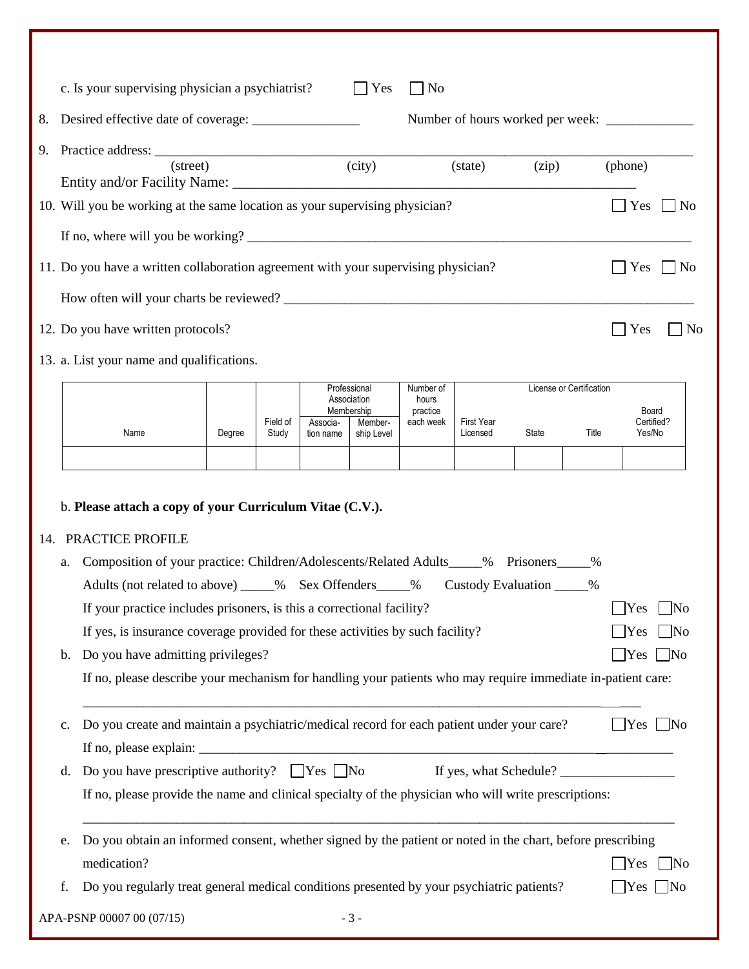|    |                      | c. Is your supervising physician a psychiatrist?                                                                                                                                                                                                                                                                                                                                                                                                                                                                                                                             |        |                   |                       | $\Box$ Yes                                | $\overline{\phantom{a}}$ No    |                               |                          |           |                                          |                                                        |
|----|----------------------|------------------------------------------------------------------------------------------------------------------------------------------------------------------------------------------------------------------------------------------------------------------------------------------------------------------------------------------------------------------------------------------------------------------------------------------------------------------------------------------------------------------------------------------------------------------------------|--------|-------------------|-----------------------|-------------------------------------------|--------------------------------|-------------------------------|--------------------------|-----------|------------------------------------------|--------------------------------------------------------|
| 8. |                      |                                                                                                                                                                                                                                                                                                                                                                                                                                                                                                                                                                              |        |                   |                       |                                           |                                |                               |                          |           |                                          |                                                        |
| 9. |                      | $(\text{street})$                                                                                                                                                                                                                                                                                                                                                                                                                                                                                                                                                            |        |                   |                       | (city)                                    |                                | (state)                       |                          |           |                                          |                                                        |
|    |                      |                                                                                                                                                                                                                                                                                                                                                                                                                                                                                                                                                                              |        |                   |                       |                                           |                                |                               | (zip)                    |           | (phone)                                  |                                                        |
|    |                      | 10. Will you be working at the same location as your supervising physician?                                                                                                                                                                                                                                                                                                                                                                                                                                                                                                  |        |                   |                       |                                           |                                |                               |                          |           | Yes                                      | $ $ No                                                 |
|    |                      |                                                                                                                                                                                                                                                                                                                                                                                                                                                                                                                                                                              |        |                   |                       |                                           |                                |                               |                          |           |                                          |                                                        |
|    |                      | 11. Do you have a written collaboration agreement with your supervising physician?                                                                                                                                                                                                                                                                                                                                                                                                                                                                                           |        |                   |                       |                                           |                                |                               |                          |           | Yes                                      | $ $ No                                                 |
|    |                      |                                                                                                                                                                                                                                                                                                                                                                                                                                                                                                                                                                              |        |                   |                       |                                           |                                |                               |                          |           |                                          |                                                        |
|    |                      | 12. Do you have written protocols?                                                                                                                                                                                                                                                                                                                                                                                                                                                                                                                                           |        |                   |                       |                                           |                                |                               |                          |           | Yes                                      | N <sub>0</sub>                                         |
|    |                      |                                                                                                                                                                                                                                                                                                                                                                                                                                                                                                                                                                              |        |                   |                       |                                           |                                |                               |                          |           |                                          |                                                        |
|    |                      | 13. a. List your name and qualifications.                                                                                                                                                                                                                                                                                                                                                                                                                                                                                                                                    |        |                   |                       |                                           |                                |                               |                          |           |                                          |                                                        |
|    |                      |                                                                                                                                                                                                                                                                                                                                                                                                                                                                                                                                                                              |        |                   |                       | Professional<br>Association<br>Membership | Number of<br>hours<br>practice |                               | License or Certification |           | Board                                    |                                                        |
|    |                      | Name                                                                                                                                                                                                                                                                                                                                                                                                                                                                                                                                                                         | Degree | Field of<br>Study | Associa-<br>tion name | Member-<br>ship Level                     | each week                      | <b>First Year</b><br>Licensed | State                    | Title     | Yes/No                                   | Certified?                                             |
|    |                      |                                                                                                                                                                                                                                                                                                                                                                                                                                                                                                                                                                              |        |                   |                       |                                           |                                |                               |                          |           |                                          |                                                        |
|    | a.<br>b.             | b. Please attach a copy of your Curriculum Vitae (C.V.).<br>14. PRACTICE PROFILE<br>Composition of your practice: Children/Adolescents/Related Adults_____% Prisoners_____<br>Adults (not related to above) _____% Sex Offenders_____% Custody Evaluation ____<br>If your practice includes prisoners, is this a correctional facility?<br>If yes, is insurance coverage provided for these activities by such facility?<br>Do you have admitting privileges?<br>If no, please describe your mechanism for handling your patients who may require immediate in-patient care: |        |                   |                       |                                           |                                |                               |                          | $\%$<br>% | Yes<br>Yes<br>$\bigcap$ Yes $\bigcap$ No | $\overline{\rm No}$<br>$\n  1No$                       |
|    | $\mathbf{c}$ .<br>d. | Do you create and maintain a psychiatric/medical record for each patient under your care?<br>If no, please provide the name and clinical specialty of the physician who will write prescriptions:                                                                                                                                                                                                                                                                                                                                                                            |        |                   |                       |                                           |                                |                               |                          |           | $\Box$ Yes $\Box$ No                     |                                                        |
|    | e.<br>f.             | Do you obtain an informed consent, whether signed by the patient or noted in the chart, before prescribing<br>medication?<br>Do you regularly treat general medical conditions presented by your psychiatric patients?<br>APA-PSNP 00007 00 (07/15)                                                                                                                                                                                                                                                                                                                          |        |                   |                       | $-3-$                                     |                                |                               |                          |           | Yes                                      | $\overline{\text{No}}$<br>$\text{Yes} \quad \text{No}$ |
|    |                      |                                                                                                                                                                                                                                                                                                                                                                                                                                                                                                                                                                              |        |                   |                       |                                           |                                |                               |                          |           |                                          |                                                        |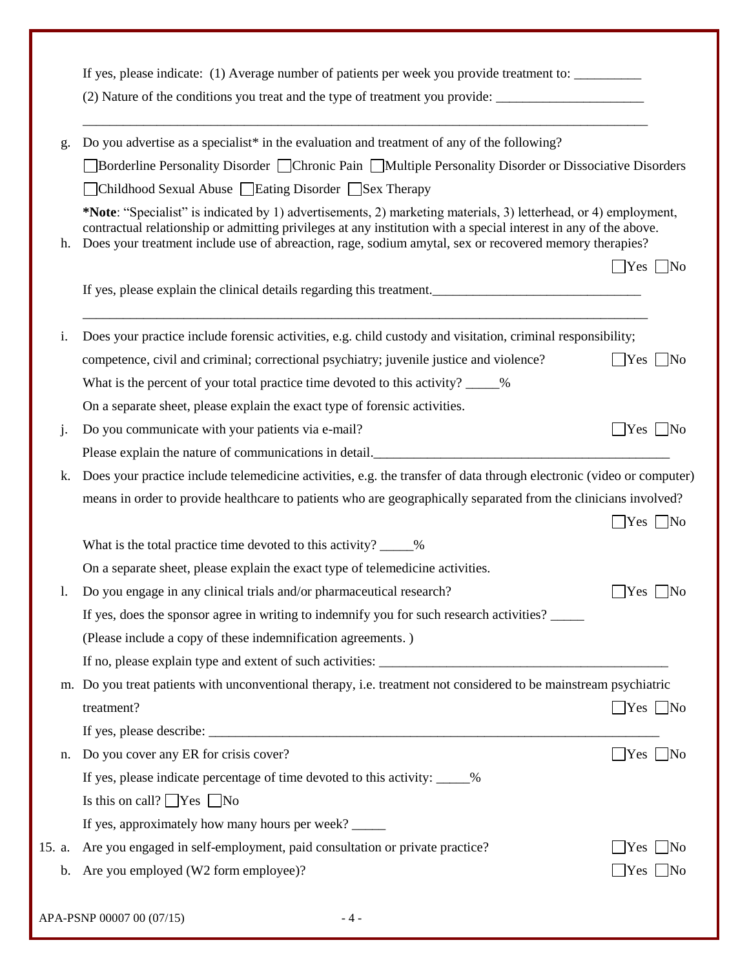| g.           | Do you advertise as a specialist <sup>*</sup> in the evaluation and treatment of any of the following?                                                                                                                                                                                                                                        |                                                                                                                                 |
|--------------|-----------------------------------------------------------------------------------------------------------------------------------------------------------------------------------------------------------------------------------------------------------------------------------------------------------------------------------------------|---------------------------------------------------------------------------------------------------------------------------------|
|              | Borderline Personality Disorder Chronic Pain Multiple Personality Disorder or Dissociative Disorders                                                                                                                                                                                                                                          |                                                                                                                                 |
|              | Childhood Sexual Abuse Eating Disorder Sex Therapy                                                                                                                                                                                                                                                                                            |                                                                                                                                 |
| h.           | *Note: "Specialist" is indicated by 1) advertisements, 2) marketing materials, 3) letterhead, or 4) employment,<br>contractual relationship or admitting privileges at any institution with a special interest in any of the above.<br>Does your treatment include use of abreaction, rage, sodium amytal, sex or recovered memory therapies? | $\Box$ Yes $\Box$ No                                                                                                            |
|              | If yes, please explain the clinical details regarding this treatment.                                                                                                                                                                                                                                                                         |                                                                                                                                 |
| i.           | Does your practice include forensic activities, e.g. child custody and visitation, criminal responsibility;                                                                                                                                                                                                                                   |                                                                                                                                 |
|              | competence, civil and criminal; correctional psychiatry; juvenile justice and violence?                                                                                                                                                                                                                                                       | $\Box$ Yes $\Box$ No                                                                                                            |
|              | What is the percent of your total practice time devoted to this activity? ____%                                                                                                                                                                                                                                                               |                                                                                                                                 |
|              | On a separate sheet, please explain the exact type of forensic activities.                                                                                                                                                                                                                                                                    |                                                                                                                                 |
| j.           | Do you communicate with your patients via e-mail?                                                                                                                                                                                                                                                                                             | $Yes$   No                                                                                                                      |
|              | Please explain the nature of communications in detail.                                                                                                                                                                                                                                                                                        |                                                                                                                                 |
| k.           | Does your practice include telemedicine activities, e.g. the transfer of data through electronic (video or computer)                                                                                                                                                                                                                          |                                                                                                                                 |
|              |                                                                                                                                                                                                                                                                                                                                               |                                                                                                                                 |
|              | means in order to provide healthcare to patients who are geographically separated from the clinicians involved?                                                                                                                                                                                                                               |                                                                                                                                 |
|              |                                                                                                                                                                                                                                                                                                                                               |                                                                                                                                 |
|              | What is the total practice time devoted to this activity? _____%                                                                                                                                                                                                                                                                              |                                                                                                                                 |
|              | On a separate sheet, please explain the exact type of telemedicine activities.                                                                                                                                                                                                                                                                |                                                                                                                                 |
|              | Do you engage in any clinical trials and/or pharmaceutical research?                                                                                                                                                                                                                                                                          |                                                                                                                                 |
|              | If yes, does the sponsor agree in writing to indemnify you for such research activities?                                                                                                                                                                                                                                                      |                                                                                                                                 |
|              | (Please include a copy of these indemnification agreements.)                                                                                                                                                                                                                                                                                  |                                                                                                                                 |
|              |                                                                                                                                                                                                                                                                                                                                               |                                                                                                                                 |
|              | m. Do you treat patients with unconventional therapy, i.e. treatment not considered to be mainstream psychiatric                                                                                                                                                                                                                              |                                                                                                                                 |
|              | treatment?                                                                                                                                                                                                                                                                                                                                    |                                                                                                                                 |
|              |                                                                                                                                                                                                                                                                                                                                               |                                                                                                                                 |
|              | Do you cover any ER for crisis cover?                                                                                                                                                                                                                                                                                                         |                                                                                                                                 |
|              | If yes, please indicate percentage of time devoted to this activity: ____%                                                                                                                                                                                                                                                                    |                                                                                                                                 |
|              | Is this on call? $\Box$ Yes $\Box$ No                                                                                                                                                                                                                                                                                                         |                                                                                                                                 |
|              | If yes, approximately how many hours per week?                                                                                                                                                                                                                                                                                                |                                                                                                                                 |
| n.<br>15. a. | Are you engaged in self-employment, paid consultation or private practice?                                                                                                                                                                                                                                                                    | $\exists$ Yes $\Box$ No<br>$\Box$ Yes $\Box$ No<br>$\Box$ Yes $\Box$ No<br>$\Box$ Yes $\Box$ No<br>$\text{Yes} \perp \text{No}$ |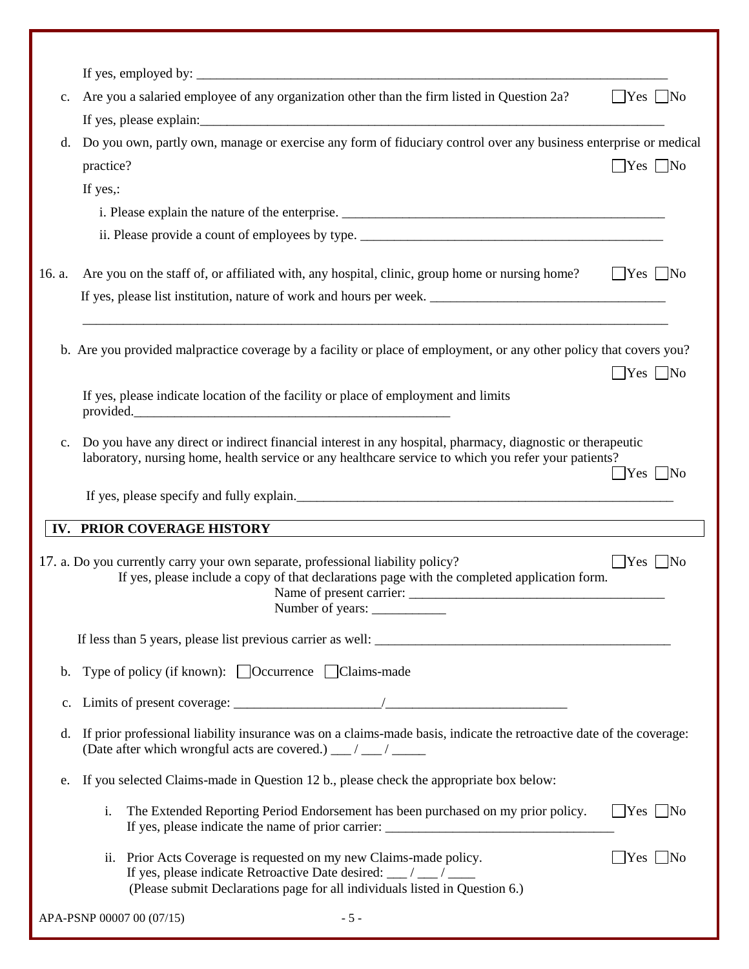|                | If yes, employed by: $\sqrt{\frac{2}{1-\frac{1}{2}} + \frac{1}{2-\frac{1}{2}} + \frac{1}{2-\frac{1}{2}}}$                                                                                                          |                            |
|----------------|--------------------------------------------------------------------------------------------------------------------------------------------------------------------------------------------------------------------|----------------------------|
| $\mathbf{c}$ . | Are you a salaried employee of any organization other than the firm listed in Question 2a?                                                                                                                         | $\Box$ Yes $\Box$ No       |
| d.             | Do you own, partly own, manage or exercise any form of fiduciary control over any business enterprise or medical                                                                                                   |                            |
|                | practice?                                                                                                                                                                                                          | $\Box$ Yes $\Box$ No       |
|                | If yes,:                                                                                                                                                                                                           |                            |
|                |                                                                                                                                                                                                                    |                            |
|                |                                                                                                                                                                                                                    |                            |
| 16. a.         | Are you on the staff of, or affiliated with, any hospital, clinic, group home or nursing home?                                                                                                                     | $Yes$ No                   |
|                |                                                                                                                                                                                                                    |                            |
|                | b. Are you provided malpractice coverage by a facility or place of employment, or any other policy that covers you?                                                                                                | $\Box$ Yes $\Box$ No       |
|                | If yes, please indicate location of the facility or place of employment and limits<br>provided.                                                                                                                    |                            |
| $\mathbf{c}$ . | Do you have any direct or indirect financial interest in any hospital, pharmacy, diagnostic or therapeutic<br>laboratory, nursing home, health service or any healthcare service to which you refer your patients? | $Yes \mid No$              |
|                | If yes, please specify and fully explain.                                                                                                                                                                          |                            |
|                | <b>IV. PRIOR COVERAGE HISTORY</b>                                                                                                                                                                                  |                            |
|                | 17. a. Do you currently carry your own separate, professional liability policy?<br>If yes, please include a copy of that declarations page with the completed application form.<br>Number of years:                | $Yes \mid No$              |
|                |                                                                                                                                                                                                                    |                            |
| b.             | Type of policy (if known): □ Occurrence □ Claims-made                                                                                                                                                              |                            |
| c.             |                                                                                                                                                                                                                    |                            |
| d.             | If prior professional liability insurance was on a claims-made basis, indicate the retroactive date of the coverage:<br>(Date after which wrongful acts are covered.) __/ __/ ____                                 |                            |
| e.             | If you selected Claims-made in Question 12 b., please check the appropriate box below:                                                                                                                             |                            |
|                | The Extended Reporting Period Endorsement has been purchased on my prior policy.<br>i.<br>If yes, please indicate the name of prior carrier: ______________________________                                        | $ $ Yes $ $ No             |
|                | ii. Prior Acts Coverage is requested on my new Claims-made policy.<br>If yes, please indicate Retroactive Date desired: __/ __/ ___<br>(Please submit Declarations page for all individuals listed in Question 6.) | $\bigcap$ Yes $\bigcap$ No |
|                | APA-PSNP 00007 00 (07/15)<br>$-5-$                                                                                                                                                                                 |                            |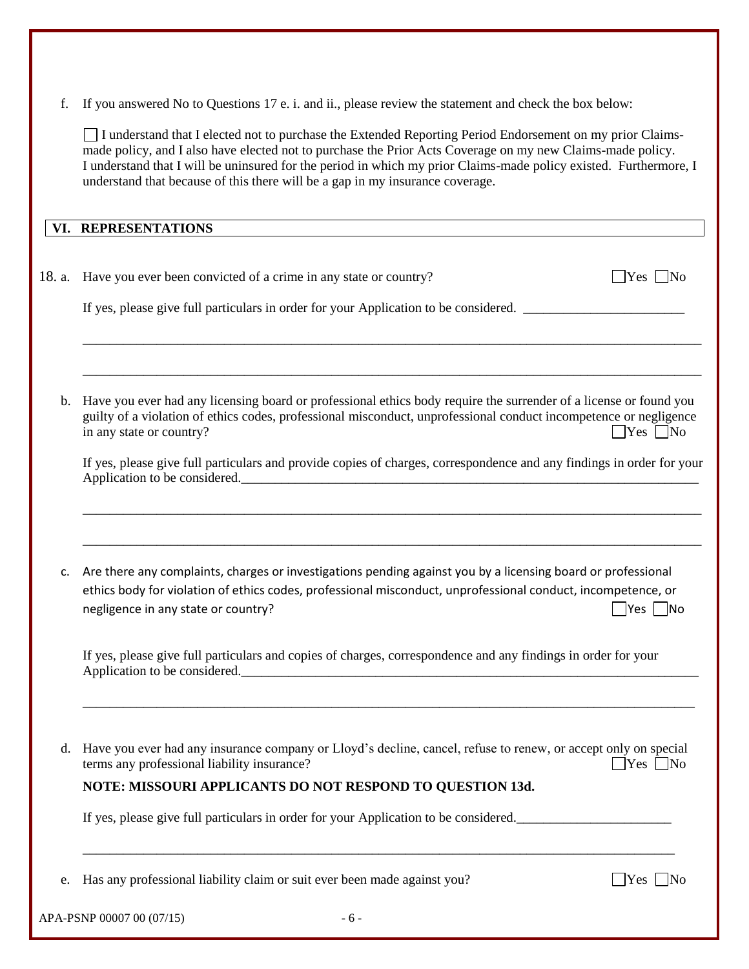f. If you answered No to Questions 17 e. i. and ii., please review the statement and check the box below:

I understand that I elected not to purchase the Extended Reporting Period Endorsement on my prior Claimsmade policy, and I also have elected not to purchase the Prior Acts Coverage on my new Claims-made policy. I understand that I will be uninsured for the period in which my prior Claims-made policy existed. Furthermore, I understand that because of this there will be a gap in my insurance coverage.

### **VI. REPRESENTATIONS**

|    | 18. a. Have you ever been convicted of a crime in any state or country?<br>$ Yes $ No                                                                                                                                                                                                                                                                                                          |
|----|------------------------------------------------------------------------------------------------------------------------------------------------------------------------------------------------------------------------------------------------------------------------------------------------------------------------------------------------------------------------------------------------|
|    | If yes, please give full particulars in order for your Application to be considered.                                                                                                                                                                                                                                                                                                           |
| b. | ,我们也不能在这里的,我们也不能在这里的人,我们也不能在这里的人,我们也不能在这里的人,我们也不能在这里的人,我们也不能在这里的人,我们也不能在这里的人,我们也<br>Have you ever had any licensing board or professional ethics body require the surrender of a license or found you<br>guilty of a violation of ethics codes, professional misconduct, unprofessional conduct incompetence or negligence<br>in any state or country?<br>$\blacksquare$ Yes $\blacksquare$ No |
|    | If yes, please give full particulars and provide copies of charges, correspondence and any findings in order for your<br>Application to be considered.                                                                                                                                                                                                                                         |
| c. | Are there any complaints, charges or investigations pending against you by a licensing board or professional<br>ethics body for violation of ethics codes, professional misconduct, unprofessional conduct, incompetence, or<br>negligence in any state or country?<br> Yes    No                                                                                                              |
|    | If yes, please give full particulars and copies of charges, correspondence and any findings in order for your<br>Application to be considered.                                                                                                                                                                                                                                                 |
| d. | Have you ever had any insurance company or Lloyd's decline, cancel, refuse to renew, or accept only on special<br>terms any professional liability insurance?<br>$\gamma$ es $\Box$ No<br>NOTE: MISSOURI APPLICANTS DO NOT RESPOND TO QUESTION 13d.                                                                                                                                            |
|    | If yes, please give full particulars in order for your Application to be considered.                                                                                                                                                                                                                                                                                                           |
| e. | Has any professional liability claim or suit ever been made against you?<br> Yes <br>IN <sub>O</sub>                                                                                                                                                                                                                                                                                           |
|    | APA-PSNP 00007 00 (07/15)<br>$-6-$                                                                                                                                                                                                                                                                                                                                                             |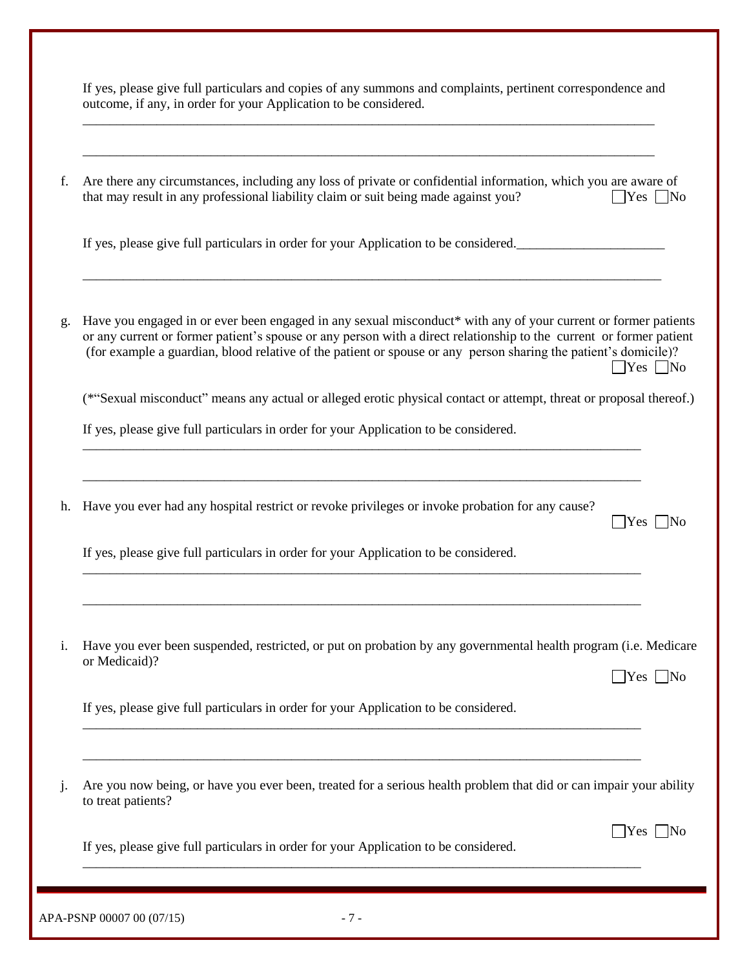| f.      | Are there any circumstances, including any loss of private or confidential information, which you are aware of<br>that may result in any professional liability claim or suit being made against you?<br>$\Box$ Yes $\Box$ No                                                                                                                                                     |
|---------|-----------------------------------------------------------------------------------------------------------------------------------------------------------------------------------------------------------------------------------------------------------------------------------------------------------------------------------------------------------------------------------|
|         | If yes, please give full particulars in order for your Application to be considered.                                                                                                                                                                                                                                                                                              |
| g.      | Have you engaged in or ever been engaged in any sexual misconduct* with any of your current or former patients<br>or any current or former patient's spouse or any person with a direct relationship to the current or former patient<br>(for example a guardian, blood relative of the patient or spouse or any person sharing the patient's domicile)?<br>$\gamma$ es $\Box$ No |
|         | (*"Sexual misconduct" means any actual or alleged erotic physical contact or attempt, threat or proposal thereof.)                                                                                                                                                                                                                                                                |
|         | If yes, please give full particulars in order for your Application to be considered.                                                                                                                                                                                                                                                                                              |
| h.      | Have you ever had any hospital restrict or revoke privileges or invoke probation for any cause?<br>$ Yes $ No                                                                                                                                                                                                                                                                     |
|         | If yes, please give full particulars in order for your Application to be considered.                                                                                                                                                                                                                                                                                              |
| i.      | Have you ever been suspended, restricted, or put on probation by any governmental health program (i.e. Medicare<br>or Medicaid)?<br>$\bigcap$ Yes $\bigcap$ No                                                                                                                                                                                                                    |
|         | If yes, please give full particulars in order for your Application to be considered.                                                                                                                                                                                                                                                                                              |
| $\cdot$ | Are you now being, or have you ever been, treated for a serious health problem that did or can impair your ability<br>to treat patients?                                                                                                                                                                                                                                          |
|         | Yes<br>If yes, please give full particulars in order for your Application to be considered.                                                                                                                                                                                                                                                                                       |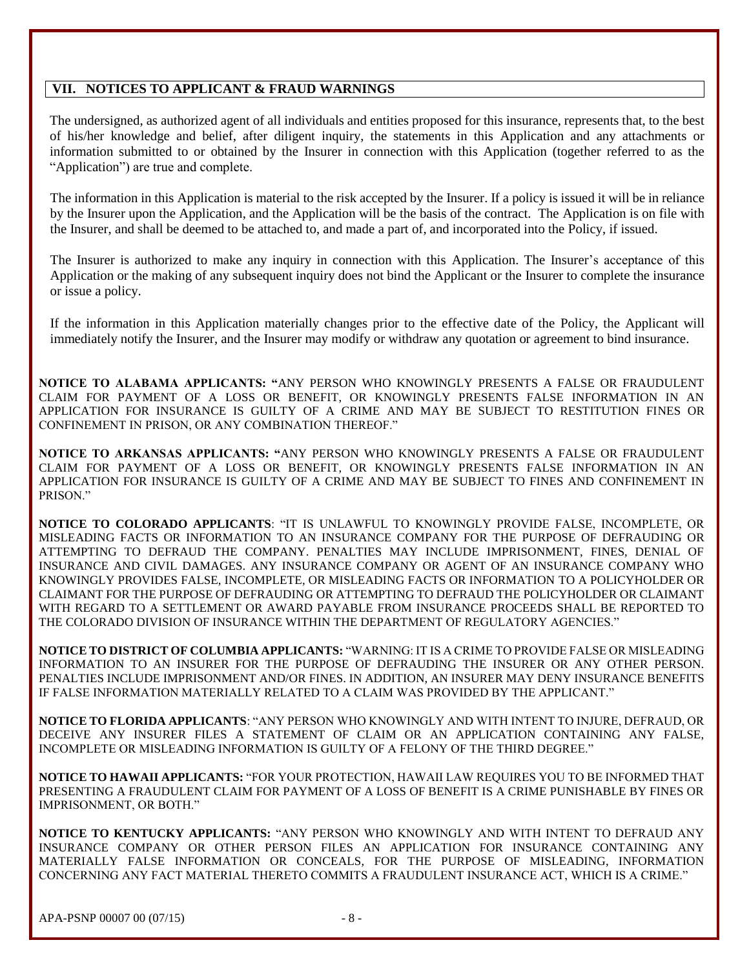#### **VII. NOTICES TO APPLICANT & FRAUD WARNINGS**

The undersigned, as authorized agent of all individuals and entities proposed for this insurance, represents that, to the best of his/her knowledge and belief, after diligent inquiry, the statements in this Application and any attachments or information submitted to or obtained by the Insurer in connection with this Application (together referred to as the "Application") are true and complete.

The information in this Application is material to the risk accepted by the Insurer. If a policy is issued it will be in reliance by the Insurer upon the Application, and the Application will be the basis of the contract. The Application is on file with the Insurer, and shall be deemed to be attached to, and made a part of, and incorporated into the Policy, if issued.

The Insurer is authorized to make any inquiry in connection with this Application. The Insurer's acceptance of this Application or the making of any subsequent inquiry does not bind the Applicant or the Insurer to complete the insurance or issue a policy.

If the information in this Application materially changes prior to the effective date of the Policy, the Applicant will immediately notify the Insurer, and the Insurer may modify or withdraw any quotation or agreement to bind insurance.

**NOTICE TO ALABAMA APPLICANTS: "**ANY PERSON WHO KNOWINGLY PRESENTS A FALSE OR FRAUDULENT CLAIM FOR PAYMENT OF A LOSS OR BENEFIT, OR KNOWINGLY PRESENTS FALSE INFORMATION IN AN APPLICATION FOR INSURANCE IS GUILTY OF A CRIME AND MAY BE SUBJECT TO RESTITUTION FINES OR CONFINEMENT IN PRISON, OR ANY COMBINATION THEREOF."

**NOTICE TO ARKANSAS APPLICANTS: "**ANY PERSON WHO KNOWINGLY PRESENTS A FALSE OR FRAUDULENT CLAIM FOR PAYMENT OF A LOSS OR BENEFIT, OR KNOWINGLY PRESENTS FALSE INFORMATION IN AN APPLICATION FOR INSURANCE IS GUILTY OF A CRIME AND MAY BE SUBJECT TO FINES AND CONFINEMENT IN PRISON."

**NOTICE TO COLORADO APPLICANTS**: "IT IS UNLAWFUL TO KNOWINGLY PROVIDE FALSE, INCOMPLETE, OR MISLEADING FACTS OR INFORMATION TO AN INSURANCE COMPANY FOR THE PURPOSE OF DEFRAUDING OR ATTEMPTING TO DEFRAUD THE COMPANY. PENALTIES MAY INCLUDE IMPRISONMENT, FINES, DENIAL OF INSURANCE AND CIVIL DAMAGES. ANY INSURANCE COMPANY OR AGENT OF AN INSURANCE COMPANY WHO KNOWINGLY PROVIDES FALSE, INCOMPLETE, OR MISLEADING FACTS OR INFORMATION TO A POLICYHOLDER OR CLAIMANT FOR THE PURPOSE OF DEFRAUDING OR ATTEMPTING TO DEFRAUD THE POLICYHOLDER OR CLAIMANT WITH REGARD TO A SETTLEMENT OR AWARD PAYABLE FROM INSURANCE PROCEEDS SHALL BE REPORTED TO THE COLORADO DIVISION OF INSURANCE WITHIN THE DEPARTMENT OF REGULATORY AGENCIES."

**NOTICE TO DISTRICT OF COLUMBIA APPLICANTS:** "WARNING: IT IS A CRIME TO PROVIDE FALSE OR MISLEADING INFORMATION TO AN INSURER FOR THE PURPOSE OF DEFRAUDING THE INSURER OR ANY OTHER PERSON. PENALTIES INCLUDE IMPRISONMENT AND/OR FINES. IN ADDITION, AN INSURER MAY DENY INSURANCE BENEFITS IF FALSE INFORMATION MATERIALLY RELATED TO A CLAIM WAS PROVIDED BY THE APPLICANT."

**NOTICE TO FLORIDA APPLICANTS**: "ANY PERSON WHO KNOWINGLY AND WITH INTENT TO INJURE, DEFRAUD, OR DECEIVE ANY INSURER FILES A STATEMENT OF CLAIM OR AN APPLICATION CONTAINING ANY FALSE, INCOMPLETE OR MISLEADING INFORMATION IS GUILTY OF A FELONY OF THE THIRD DEGREE."

**NOTICE TO HAWAII APPLICANTS:** "FOR YOUR PROTECTION, HAWAII LAW REQUIRES YOU TO BE INFORMED THAT PRESENTING A FRAUDULENT CLAIM FOR PAYMENT OF A LOSS OF BENEFIT IS A CRIME PUNISHABLE BY FINES OR IMPRISONMENT, OR BOTH."

**NOTICE TO KENTUCKY APPLICANTS:** "ANY PERSON WHO KNOWINGLY AND WITH INTENT TO DEFRAUD ANY INSURANCE COMPANY OR OTHER PERSON FILES AN APPLICATION FOR INSURANCE CONTAINING ANY MATERIALLY FALSE INFORMATION OR CONCEALS, FOR THE PURPOSE OF MISLEADING, INFORMATION CONCERNING ANY FACT MATERIAL THERETO COMMITS A FRAUDULENT INSURANCE ACT, WHICH IS A CRIME."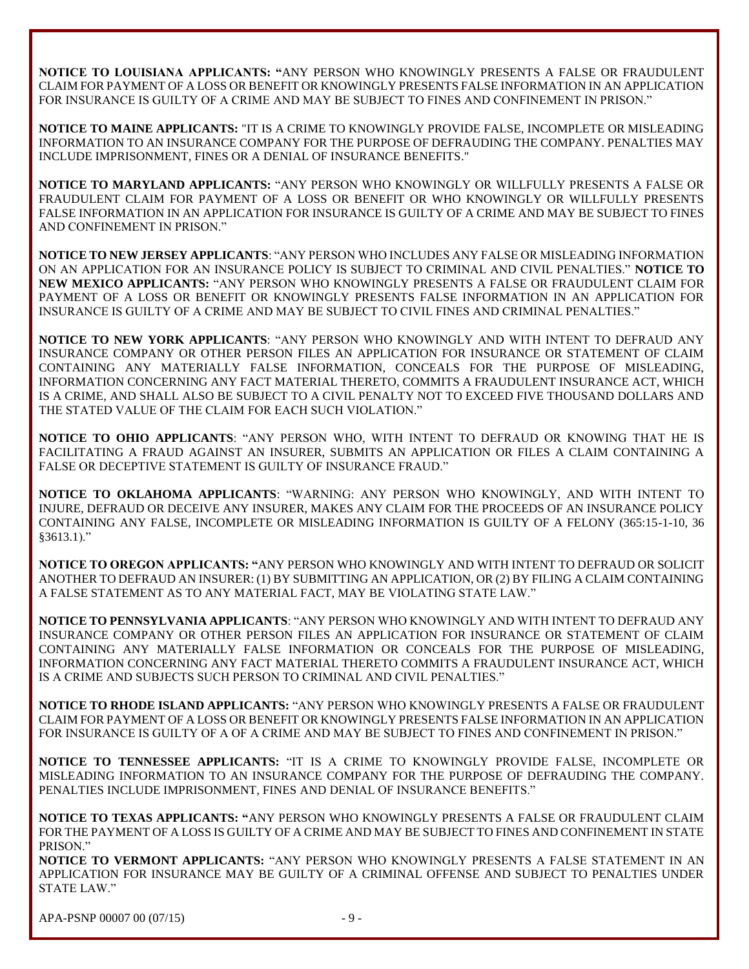**NOTICE TO LOUISIANA APPLICANTS: "**ANY PERSON WHO KNOWINGLY PRESENTS A FALSE OR FRAUDULENT CLAIM FOR PAYMENT OF A LOSS OR BENEFIT OR KNOWINGLY PRESENTS FALSE INFORMATION IN AN APPLICATION FOR INSURANCE IS GUILTY OF A CRIME AND MAY BE SUBJECT TO FINES AND CONFINEMENT IN PRISON."

**NOTICE TO MAINE APPLICANTS:** "IT IS A CRIME TO KNOWINGLY PROVIDE FALSE, INCOMPLETE OR MISLEADING INFORMATION TO AN INSURANCE COMPANY FOR THE PURPOSE OF DEFRAUDING THE COMPANY. PENALTIES MAY INCLUDE IMPRISONMENT, FINES OR A DENIAL OF INSURANCE BENEFITS."

**NOTICE TO MARYLAND APPLICANTS:** "ANY PERSON WHO KNOWINGLY OR WILLFULLY PRESENTS A FALSE OR FRAUDULENT CLAIM FOR PAYMENT OF A LOSS OR BENEFIT OR WHO KNOWINGLY OR WILLFULLY PRESENTS FALSE INFORMATION IN AN APPLICATION FOR INSURANCE IS GUILTY OF A CRIME AND MAY BE SUBJECT TO FINES AND CONFINEMENT IN PRISON."

**NOTICE TO NEW JERSEY APPLICANTS**: "ANY PERSON WHO INCLUDES ANY FALSE OR MISLEADING INFORMATION ON AN APPLICATION FOR AN INSURANCE POLICY IS SUBJECT TO CRIMINAL AND CIVIL PENALTIES." **NOTICE TO NEW MEXICO APPLICANTS:** "ANY PERSON WHO KNOWINGLY PRESENTS A FALSE OR FRAUDULENT CLAIM FOR PAYMENT OF A LOSS OR BENEFIT OR KNOWINGLY PRESENTS FALSE INFORMATION IN AN APPLICATION FOR INSURANCE IS GUILTY OF A CRIME AND MAY BE SUBJECT TO CIVIL FINES AND CRIMINAL PENALTIES."

**NOTICE TO NEW YORK APPLICANTS**: "ANY PERSON WHO KNOWINGLY AND WITH INTENT TO DEFRAUD ANY INSURANCE COMPANY OR OTHER PERSON FILES AN APPLICATION FOR INSURANCE OR STATEMENT OF CLAIM CONTAINING ANY MATERIALLY FALSE INFORMATION, CONCEALS FOR THE PURPOSE OF MISLEADING, INFORMATION CONCERNING ANY FACT MATERIAL THERETO, COMMITS A FRAUDULENT INSURANCE ACT, WHICH IS A CRIME, AND SHALL ALSO BE SUBJECT TO A CIVIL PENALTY NOT TO EXCEED FIVE THOUSAND DOLLARS AND THE STATED VALUE OF THE CLAIM FOR EACH SUCH VIOLATION."

**NOTICE TO OHIO APPLICANTS**: "ANY PERSON WHO, WITH INTENT TO DEFRAUD OR KNOWING THAT HE IS FACILITATING A FRAUD AGAINST AN INSURER, SUBMITS AN APPLICATION OR FILES A CLAIM CONTAINING A FALSE OR DECEPTIVE STATEMENT IS GUILTY OF INSURANCE FRAUD."

**NOTICE TO OKLAHOMA APPLICANTS**: "WARNING: ANY PERSON WHO KNOWINGLY, AND WITH INTENT TO INJURE, DEFRAUD OR DECEIVE ANY INSURER, MAKES ANY CLAIM FOR THE PROCEEDS OF AN INSURANCE POLICY CONTAINING ANY FALSE, INCOMPLETE OR MISLEADING INFORMATION IS GUILTY OF A FELONY (365:15-1-10, 36 §3613.1)."

**NOTICE TO OREGON APPLICANTS: "**ANY PERSON WHO KNOWINGLY AND WITH INTENT TO DEFRAUD OR SOLICIT ANOTHER TO DEFRAUD AN INSURER: (1) BY SUBMITTING AN APPLICATION, OR (2) BY FILING A CLAIM CONTAINING A FALSE STATEMENT AS TO ANY MATERIAL FACT, MAY BE VIOLATING STATE LAW."

**NOTICE TO PENNSYLVANIA APPLICANTS**: "ANY PERSON WHO KNOWINGLY AND WITH INTENT TO DEFRAUD ANY INSURANCE COMPANY OR OTHER PERSON FILES AN APPLICATION FOR INSURANCE OR STATEMENT OF CLAIM CONTAINING ANY MATERIALLY FALSE INFORMATION OR CONCEALS FOR THE PURPOSE OF MISLEADING, INFORMATION CONCERNING ANY FACT MATERIAL THERETO COMMITS A FRAUDULENT INSURANCE ACT, WHICH IS A CRIME AND SUBJECTS SUCH PERSON TO CRIMINAL AND CIVIL PENALTIES."

**NOTICE TO RHODE ISLAND APPLICANTS:** "ANY PERSON WHO KNOWINGLY PRESENTS A FALSE OR FRAUDULENT CLAIM FOR PAYMENT OF A LOSS OR BENEFIT OR KNOWINGLY PRESENTS FALSE INFORMATION IN AN APPLICATION FOR INSURANCE IS GUILTY OF A OF A CRIME AND MAY BE SUBJECT TO FINES AND CONFINEMENT IN PRISON."

**NOTICE TO TENNESSEE APPLICANTS:** "IT IS A CRIME TO KNOWINGLY PROVIDE FALSE, INCOMPLETE OR MISLEADING INFORMATION TO AN INSURANCE COMPANY FOR THE PURPOSE OF DEFRAUDING THE COMPANY. PENALTIES INCLUDE IMPRISONMENT, FINES AND DENIAL OF INSURANCE BENEFITS."

**NOTICE TO TEXAS APPLICANTS: "**ANY PERSON WHO KNOWINGLY PRESENTS A FALSE OR FRAUDULENT CLAIM FOR THE PAYMENT OF A LOSS IS GUILTY OF A CRIME AND MAY BE SUBJECT TO FINES AND CONFINEMENT IN STATE PRISON."

**NOTICE TO VERMONT APPLICANTS:** "ANY PERSON WHO KNOWINGLY PRESENTS A FALSE STATEMENT IN AN APPLICATION FOR INSURANCE MAY BE GUILTY OF A CRIMINAL OFFENSE AND SUBJECT TO PENALTIES UNDER STATE LAW."

APA-PSNP 00007 00 (07/15) - 9 -